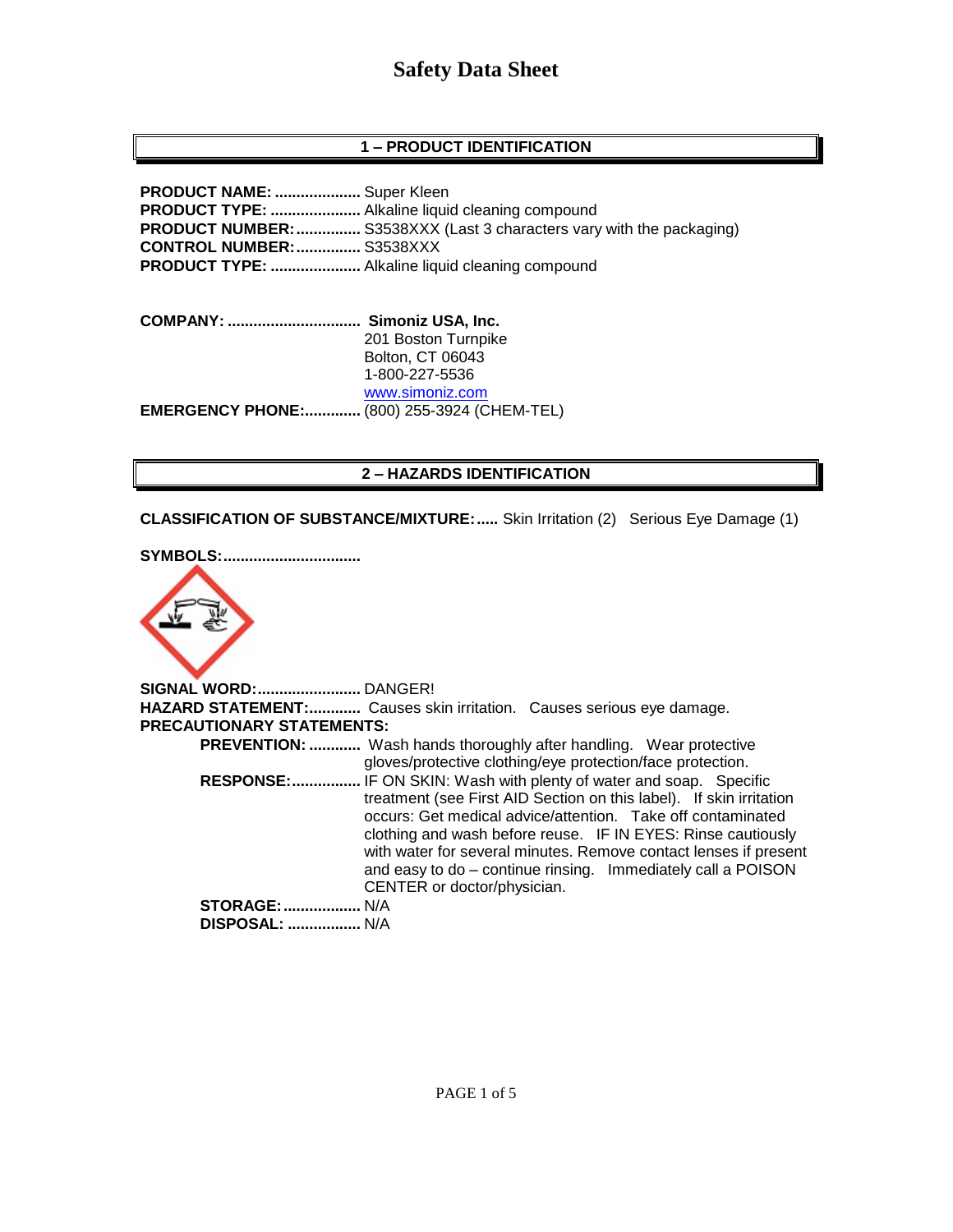# **Safety Data Sheet**

## **1 – PRODUCT IDENTIFICATION**

**PRODUCT NAME: ....................** Super Kleen **PRODUCT TYPE: .....................** Alkaline liquid cleaning compound **PRODUCT NUMBER:...............** S3538XXX (Last 3 characters vary with the packaging) **CONTROL NUMBER:...............** S3538XXX **PRODUCT TYPE: .....................** Alkaline liquid cleaning compound

**COMPANY: ............................... Simoniz USA, Inc.** 201 Boston Turnpike Bolton, CT 06043 1-800-227-5536 [www.simoniz.com](http://www.simoniz.com/) **EMERGENCY PHONE:.............** (800) 255-3924 (CHEM-TEL)

#### **2 – HAZARDS IDENTIFICATION**

**CLASSIFICATION OF SUBSTANCE/MIXTURE:.....** Skin Irritation (2) Serious Eye Damage (1)

**SYMBOLS:................................**



**SIGNAL WORD:........................** DANGER! **HAZARD STATEMENT:............** Causes skin irritation. Causes serious eye damage. **PRECAUTIONARY STATEMENTS: PREVENTION: ............** Wash hands thoroughly after handling. Wear protective gloves/protective clothing/eye protection/face protection.  **RESPONSE:................** IF ON SKIN: Wash with plenty of water and soap. Specific treatment (see First AID Section on this label). If skin irritation occurs: Get medical advice/attention. Take off contaminated clothing and wash before reuse. IF IN EYES: Rinse cautiously with water for several minutes. Remove contact lenses if present and easy to do – continue rinsing. Immediately call a POISON CENTER or doctor/physician. **STORAGE:..................** N/A  **DISPOSAL: .................** N/A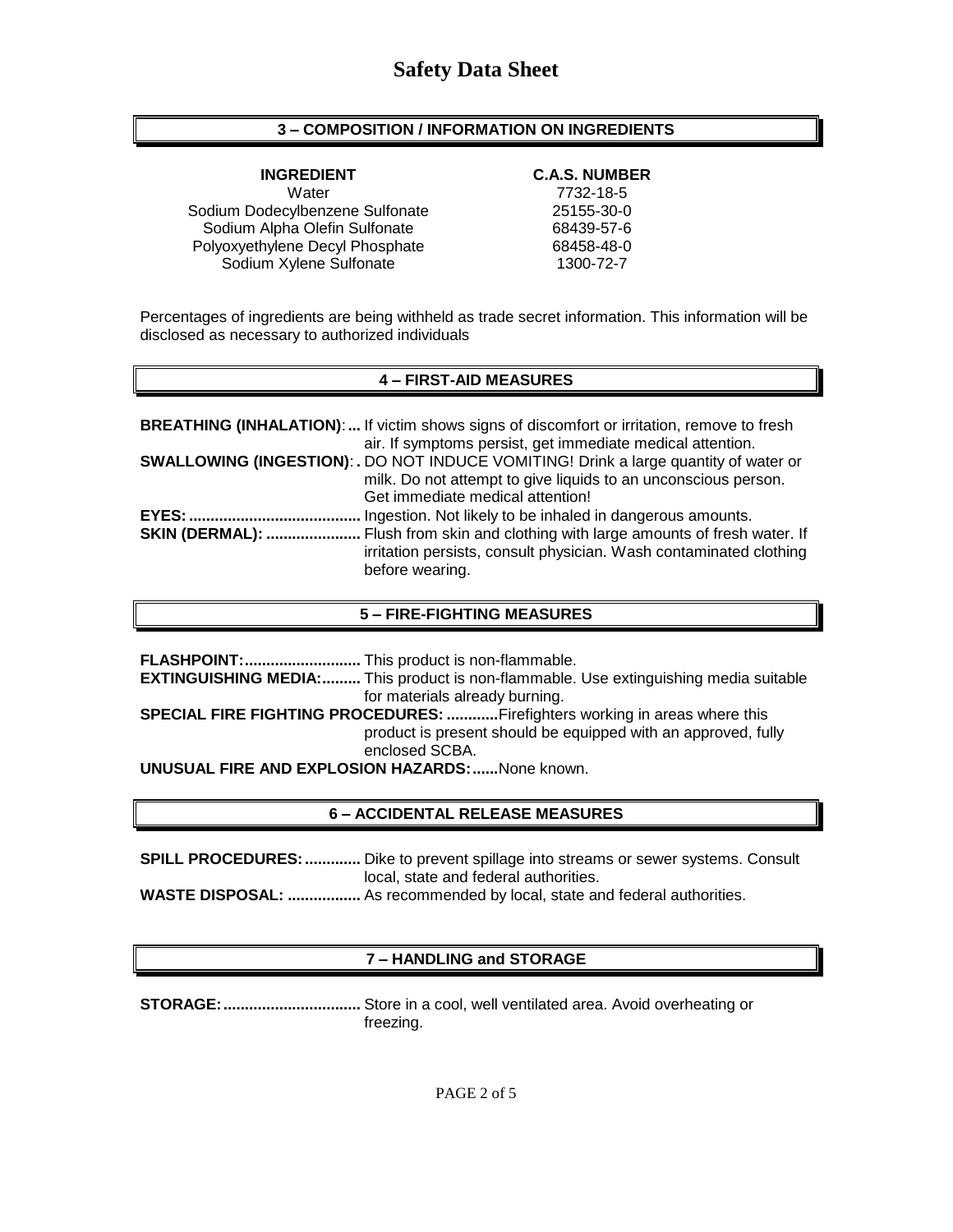### **3 – COMPOSITION / INFORMATION ON INGREDIENTS**

Water 7732-18-5 Sodium Dodecylbenzene Sulfonate 25155-30-0 Sodium Alpha Olefin Sulfonate 68439-57-6 Polyoxyethylene Decyl Phosphate 68458-48-0 Sodium Xylene Sulfonate 1300-72-7

#### **INGREDIENT C.A.S. NUMBER**

Percentages of ingredients are being withheld as trade secret information. This information will be disclosed as necessary to authorized individuals

### **4 – FIRST-AID MEASURES**

|                        | <b>BREATHING (INHALATION):</b> If victim shows signs of discomfort or irritation, remove to fresh<br>air. If symptoms persist, get immediate medical attention. |
|------------------------|-----------------------------------------------------------------------------------------------------------------------------------------------------------------|
|                        | <b>SWALLOWING (INGESTION): .</b> DO NOT INDUCE VOMITING! Drink a large quantity of water or                                                                     |
|                        | milk. Do not attempt to give liquids to an unconscious person.                                                                                                  |
|                        | Get immediate medical attention!                                                                                                                                |
|                        | Ingestion. Not likely to be inhaled in dangerous amounts.                                                                                                       |
| <b>SKIN (DERMAL): </b> | Flush from skin and clothing with large amounts of fresh water. If<br>irritation persists, consult physician. Wash contaminated clothing<br>before wearing.     |

#### **5 – FIRE-FIGHTING MEASURES**

|                                                                            | <b>EXTINGUISHING MEDIA:</b> This product is non-flammable. Use extinguishing media suitable |  |
|----------------------------------------------------------------------------|---------------------------------------------------------------------------------------------|--|
|                                                                            | for materials already burning.                                                              |  |
| SPECIAL FIRE FIGHTING PROCEDURES: Firefighters working in areas where this |                                                                                             |  |
|                                                                            | product is present should be equipped with an approved, fully                               |  |
|                                                                            | enclosed SCBA.                                                                              |  |
| <b>UNUSUAL FIRE AND EXPLOSION HAZARDS:  None known.</b>                    |                                                                                             |  |

# **6 – ACCIDENTAL RELEASE MEASURES**

**SPILL PROCEDURES:.............** Dike to prevent spillage into streams or sewer systems. Consult local, state and federal authorities.

**WASTE DISPOSAL: .................** As recommended by local, state and federal authorities.

# **7 – HANDLING and STORAGE**

**STORAGE:................................** Store in a cool, well ventilated area. Avoid overheating or freezing.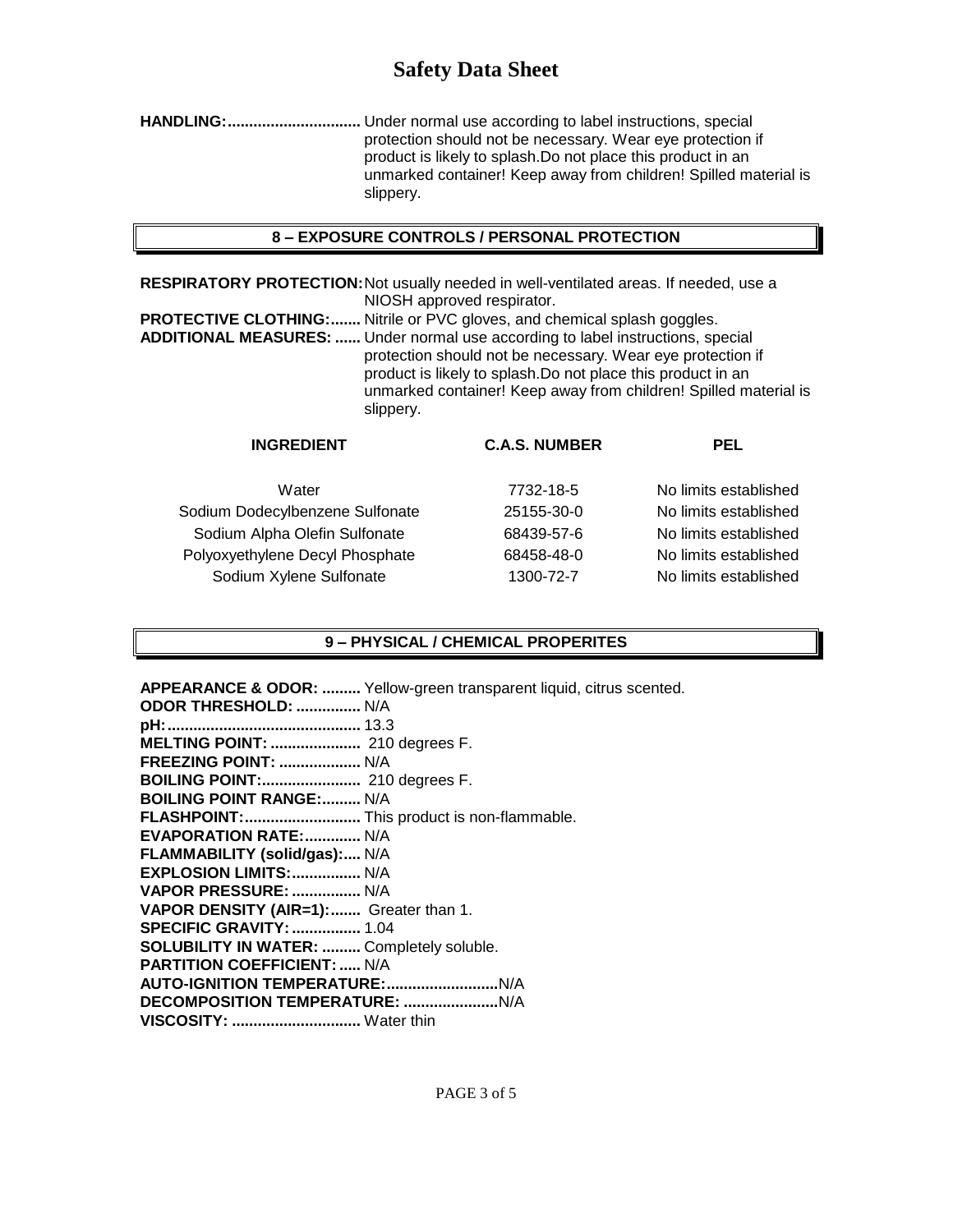# **Safety Data Sheet**

**HANDLING:...............................** Under normal use according to label instructions, special protection should not be necessary. Wear eye protection if product is likely to splash.Do not place this product in an unmarked container! Keep away from children! Spilled material is slippery.

#### **8 – EXPOSURE CONTROLS / PERSONAL PROTECTION**

**RESPIRATORY PROTECTION:**Not usually needed in well-ventilated areas. If needed, use a NIOSH approved respirator.

**PROTECTIVE CLOTHING:.......** Nitrile or PVC gloves, and chemical splash goggles. **ADDITIONAL MEASURES: ......** Under normal use according to label instructions, special protection should not be necessary. Wear eye protection if product is likely to splash.Do not place this product in an unmarked container! Keep away from children! Spilled material is slippery.

| <b>C.A.S. NUMBER</b> | <b>PEL</b>            |
|----------------------|-----------------------|
| 7732-18-5            | No limits established |
| 25155-30-0           | No limits established |
| 68439-57-6           | No limits established |
| 68458-48-0           | No limits established |
| 1300-72-7            | No limits established |
|                      |                       |

#### **9 – PHYSICAL / CHEMICAL PROPERITES**

**APPEARANCE & ODOR: .........** Yellow-green transparent liquid, citrus scented. **ODOR THRESHOLD:**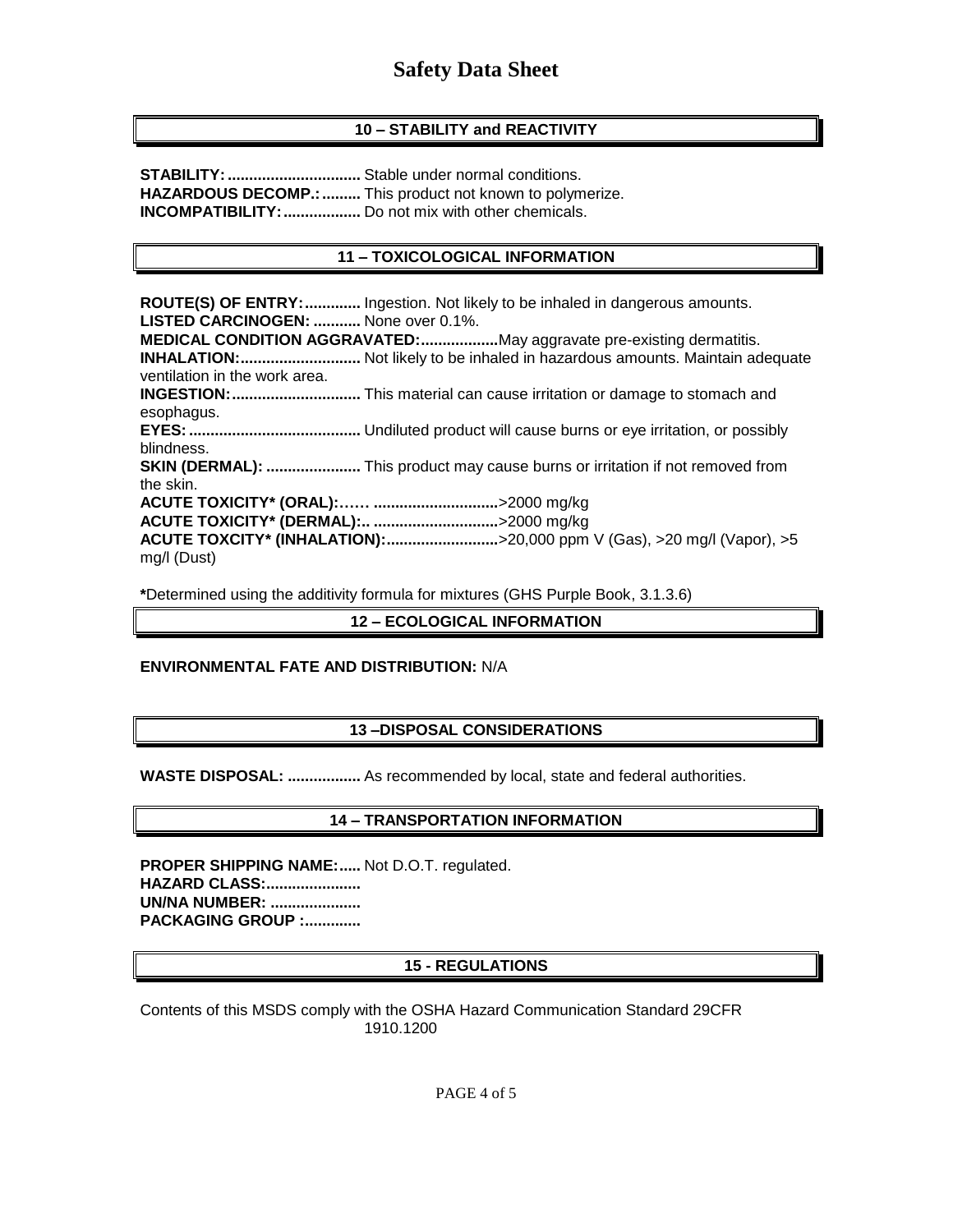# **10 – STABILITY and REACTIVITY**

**STABILITY:...............................** Stable under normal conditions. **HAZARDOUS DECOMP.:.........** This product not known to polymerize. **INCOMPATIBILITY:..................** Do not mix with other chemicals.

# **11 – TOXICOLOGICAL INFORMATION**

**ROUTE(S) OF ENTRY:.............** Ingestion. Not likely to be inhaled in dangerous amounts. **LISTED CARCINOGEN: ...........** None over 0.1%. **MEDICAL CONDITION AGGRAVATED:..................**May aggravate pre-existing dermatitis. **INHALATION:............................** Not likely to be inhaled in hazardous amounts. Maintain adequate ventilation in the work area. **INGESTION:..............................** This material can cause irritation or damage to stomach and esophagus. **EYES:........................................** Undiluted product will cause burns or eye irritation, or possibly blindness. **SKIN (DERMAL): ......................** This product may cause burns or irritation if not removed from the skin. **ACUTE TOXICITY\* (ORAL):…… .............................**>2000 mg/kg **ACUTE TOXICITY\* (DERMAL):.. .............................**>2000 mg/kg **ACUTE TOXCITY\* (INHALATION):..........................**>20,000 ppm V (Gas), >20 mg/l (Vapor), >5 mg/l (Dust)

**\***Determined using the additivity formula for mixtures (GHS Purple Book, 3.1.3.6)

#### **12 – ECOLOGICAL INFORMATION**

#### **ENVIRONMENTAL FATE AND DISTRIBUTION:** N/A

# **13 –DISPOSAL CONSIDERATIONS**

**WASTE DISPOSAL: .................** As recommended by local, state and federal authorities.

#### **14 – TRANSPORTATION INFORMATION**

**PROPER SHIPPING NAME:.....** Not D.O.T. regulated. **HAZARD CLASS:...................... UN/NA NUMBER: ..................... PACKAGING GROUP :.............**

#### **15 - REGULATIONS**

Contents of this MSDS comply with the OSHA Hazard Communication Standard 29CFR 1910.1200